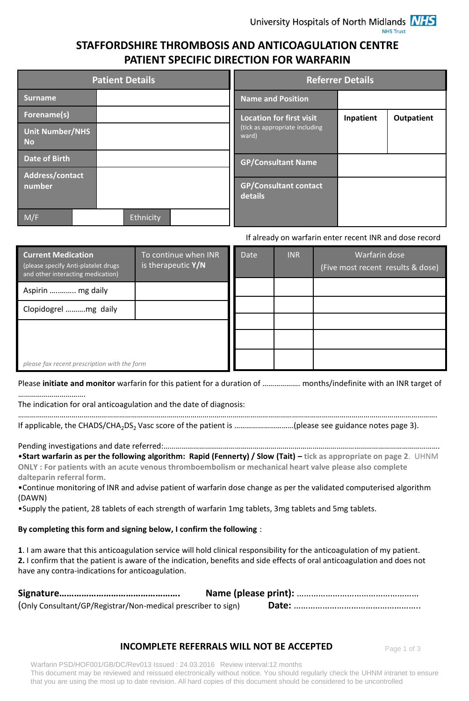## **STAFFORDSHIRE THROMBOSIS AND ANTICOAGULATION CENTRE PATIENT SPECIFIC DIRECTION FOR WARFARIN**

| <b>Patient Details</b>              |  |                           |           |  | <b>Referrer Details</b>                 |           |                   |
|-------------------------------------|--|---------------------------|-----------|--|-----------------------------------------|-----------|-------------------|
| <b>Surname</b>                      |  |                           |           |  | <b>Name and Position</b>                |           |                   |
| Forename(s)                         |  |                           |           |  | <b>Location for first visit</b>         | Inpatient | <b>Outpatient</b> |
| <b>Unit Number/NHS</b><br><b>No</b> |  |                           |           |  | (tick as appropriate including<br>ward) |           |                   |
| <b>Date of Birth</b>                |  | <b>GP/Consultant Name</b> |           |  |                                         |           |                   |
| Address/contact                     |  |                           |           |  |                                         |           |                   |
| number                              |  |                           |           |  | <b>GP/Consultant contact</b><br>details |           |                   |
| M/F                                 |  |                           | Ethnicity |  |                                         |           |                   |

#### If already on warfarin enter recent INR and dose record

| <b>Current Medication</b><br>(please specify Anti-platelet drugs<br>and other interacting medication) | To continue when INR<br>is therapeutic $Y/N$ | <b>Date</b> | <b>INR</b> | Warfarin dose<br>(Five most recent results & dose) |
|-------------------------------------------------------------------------------------------------------|----------------------------------------------|-------------|------------|----------------------------------------------------|
| Aspirin  mg daily                                                                                     |                                              |             |            |                                                    |
| Clopidogrel mg daily                                                                                  |                                              |             |            |                                                    |
|                                                                                                       |                                              |             |            |                                                    |
|                                                                                                       |                                              |             |            |                                                    |
| please fax recent prescription with the form                                                          |                                              |             |            |                                                    |

Please **initiate and monitor** warfarin for this patient for a duration of ………………. months/indefinite with an INR target of …………………………….

The indication for oral anticoagulation and the date of diagnosis:

………………………………………………………………………………………………………………………………………………………………………………………….

If applicable, the CHADS/CHA2DS2 Vasc score of the patient is …………………………(please see guidance notes page 3).

Pending investigations and date referred:…………………………………………………………………………………………………………………………. •**Start warfarin as per the following algorithm: Rapid (Fennerty) / Slow (Tait) – tick as appropriate on page 2**. UHNM **ONLY : For patients with an acute venous thromboembolism or mechanical heart valve please also complete dalteparin referral form.**

•Continue monitoring of INR and advise patient of warfarin dose change as per the validated computerised algorithm (DAWN)

•Supply the patient, 28 tablets of each strength of warfarin 1mg tablets, 3mg tablets and 5mg tablets.

### **By completing this form and signing below, I confirm the following** :

**1**. I am aware that this anticoagulation service will hold clinical responsibility for the anticoagulation of my patient. **2.** I confirm that the patient is aware of the indication, benefits and side effects of oral anticoagulation and does not have any contra-indications for anticoagulation.

| (Only Consultant/GP/Registrar/Non-medical prescriber to sign) |  |
|---------------------------------------------------------------|--|

### **INCOMPLETE REFERRALS WILL NOT BE ACCEPTED**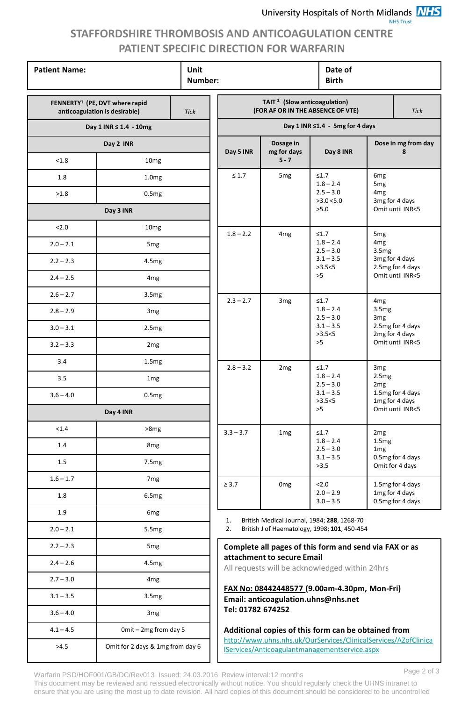### **NHS Trust**

# **STAFFORDSHIRE THROMBOSIS AND ANTICOAGULATION CENTRE PATIENT SPECIFIC DIRECTION FOR WARFARIN**

| <b>Patient Name:</b>                                                        | Unit<br>Number:                  |                                                                                              |                                                                                                                        | Date of<br><b>Birth</b> |                                                                                     |                                                        |                                    |
|-----------------------------------------------------------------------------|----------------------------------|----------------------------------------------------------------------------------------------|------------------------------------------------------------------------------------------------------------------------|-------------------------|-------------------------------------------------------------------------------------|--------------------------------------------------------|------------------------------------|
| FENNERTY <sup>1</sup> (PE, DVT where rapid<br>anticoagulation is desirable) | <b>Tick</b>                      | TAIT <sup>2</sup> (Slow anticoagulation)<br>(FOR AF OR IN THE ABSENCE OF VTE)<br><b>Tick</b> |                                                                                                                        |                         |                                                                                     |                                                        |                                    |
|                                                                             | Day 1 INR ≤ 1.4 - 10mg           |                                                                                              | Day 1 INR ≤1.4 - 5mg for 4 days                                                                                        |                         |                                                                                     |                                                        |                                    |
|                                                                             | Day 2 INR                        |                                                                                              | Dosage in<br>Day 5 INR<br>mg for days                                                                                  |                         | Day 8 INR                                                                           |                                                        | Dose in mg from day<br>8           |
| < 1.8                                                                       | 10 <sub>mg</sub>                 |                                                                                              |                                                                                                                        | $5 - 7$                 |                                                                                     |                                                        |                                    |
| 1.8                                                                         | 1.0 <sub>mg</sub>                |                                                                                              | $\leq 1.7$                                                                                                             | 5 <sub>mg</sub>         | $\leq1.7$<br>$1.8 - 2.4$                                                            | 6 <sub>mg</sub><br>5 <sub>mg</sub>                     |                                    |
| >1.8                                                                        | 0.5mg                            |                                                                                              |                                                                                                                        |                         | $2.5 - 3.0$<br>>3.0 < 5.0                                                           | 4 <sub>mg</sub>                                        | 3mg for 4 days                     |
|                                                                             | Day 3 INR                        |                                                                                              |                                                                                                                        |                         | >5.0                                                                                |                                                        | Omit until INR<5                   |
| 2.0                                                                         | 10mg                             |                                                                                              | $1.8 - 2.2$                                                                                                            | 4 <sub>mg</sub>         | $\leq1.7$                                                                           | 5 <sub>mg</sub><br>4 <sub>mg</sub><br>3.5mg            |                                    |
| $2.0 - 2.1$                                                                 | 5 <sub>mg</sub>                  |                                                                                              |                                                                                                                        |                         | $1.8 - 2.4$<br>$2.5 - 3.0$                                                          |                                                        |                                    |
| $2.2 - 2.3$                                                                 | 4.5mg                            |                                                                                              |                                                                                                                        |                         | $3.1 - 3.5$<br>>3.5<5                                                               |                                                        | 3mg for 4 days<br>2.5mg for 4 days |
| $2.4 - 2.5$                                                                 | 4 <sub>mg</sub>                  |                                                                                              |                                                                                                                        |                         | >5                                                                                  | Omit until INR<5                                       |                                    |
| $2.6 - 2.7$                                                                 | 3.5mg                            |                                                                                              | $2.3 - 2.7$                                                                                                            | 3 <sub>mg</sub>         | $\leq1.7$                                                                           | 4 <sub>mg</sub>                                        |                                    |
| $2.8 - 2.9$                                                                 | 3 <sub>mg</sub>                  |                                                                                              |                                                                                                                        |                         | $1.8 - 2.4$<br>$2.5 - 3.0$                                                          | 3.5mg<br>3 <sub>mg</sub>                               |                                    |
| $3.0 - 3.1$                                                                 | 2.5mg                            |                                                                                              |                                                                                                                        |                         | $3.1 - 3.5$<br>>3.5<5                                                               |                                                        | 2.5mg for 4 days<br>2mg for 4 days |
| $3.2 - 3.3$                                                                 | 2 <sub>mg</sub>                  |                                                                                              |                                                                                                                        |                         | >5                                                                                  | Omit until INR<5                                       |                                    |
| 3.4                                                                         | 1.5mg                            |                                                                                              | $2.8 - 3.2$                                                                                                            | 2 <sub>mg</sub>         | $\leq 1.7$                                                                          | 3 <sub>mg</sub>                                        |                                    |
| 3.5                                                                         | 1 <sub>mg</sub>                  |                                                                                              |                                                                                                                        |                         | $1.8 - 2.4$<br>$2.5 - 3.0$<br>$3.1 - 3.5$<br>>3.5<5                                 | 2.5mg<br>2 <sub>mg</sub>                               | 1.5mg for 4 days<br>1mg for 4 days |
| $3.6 - 4.0$                                                                 | 0.5mg                            |                                                                                              |                                                                                                                        |                         |                                                                                     |                                                        |                                    |
|                                                                             | Day 4 INR                        |                                                                                              |                                                                                                                        |                         | >5                                                                                  |                                                        | Omit until INR<5                   |
| < 1.4                                                                       | >8mg                             |                                                                                              | $3.3 - 3.7$                                                                                                            | 1 <sub>mg</sub>         | $\leq 1.7$                                                                          | 2 <sub>mg</sub>                                        |                                    |
| 1.4                                                                         | 8mg                              |                                                                                              |                                                                                                                        |                         | $1.8 - 2.4$<br>$2.5 - 3.0$                                                          | 1.5mg<br>1 <sub>mg</sub>                               |                                    |
| 1.5                                                                         | 7.5mg                            |                                                                                              |                                                                                                                        |                         | $3.1 - 3.5$<br>>3.5                                                                 | 0.5mg for 4 days<br>Omit for 4 days                    |                                    |
| $1.6 - 1.7$                                                                 | 7 <sub>mg</sub>                  |                                                                                              | $\geq 3.7$                                                                                                             | 0 <sub>mg</sub>         | < 2.0<br>$2.0 - 2.9$<br>$3.0 - 3.5$                                                 | 1.5mg for 4 days<br>1mg for 4 days<br>0.5mg for 4 days |                                    |
| 1.8                                                                         | 6.5mg                            |                                                                                              |                                                                                                                        |                         |                                                                                     |                                                        |                                    |
| 1.9                                                                         | 6 <sub>mg</sub>                  |                                                                                              | 1.                                                                                                                     |                         | British Medical Journal, 1984; 288, 1268-70                                         |                                                        |                                    |
| $2.0 - 2.1$                                                                 | 5.5 <sub>mg</sub>                |                                                                                              | 2.                                                                                                                     |                         | British J of Haematology, 1998; 101, 450-454                                        |                                                        |                                    |
| $2.2 - 2.3$                                                                 | 5 <sub>mg</sub>                  |                                                                                              | Complete all pages of this form and send via FAX or as                                                                 |                         |                                                                                     |                                                        |                                    |
| $2.4 - 2.6$                                                                 | 4.5 <sub>mg</sub>                |                                                                                              | attachment to secure Email<br>All requests will be acknowledged within 24hrs                                           |                         |                                                                                     |                                                        |                                    |
| $2.7 - 3.0$                                                                 | 4 <sub>mg</sub>                  |                                                                                              |                                                                                                                        |                         |                                                                                     |                                                        |                                    |
| $3.1 - 3.5$                                                                 | 3.5mg                            |                                                                                              |                                                                                                                        |                         | FAX No: 08442448577 (9.00am-4.30pm, Mon-Fri)<br>Email: anticoagulation.uhns@nhs.net |                                                        |                                    |
| $3.6 - 4.0$                                                                 | 3 <sub>mg</sub>                  |                                                                                              | Tel: 01782 674252                                                                                                      |                         |                                                                                     |                                                        |                                    |
| $4.1 - 4.5$                                                                 | Omit - 2mg from day 5            |                                                                                              | Additional copies of this form can be obtained from<br>http://www.uhns.nhs.uk/OurServices/ClinicalServices/AZofClinica |                         |                                                                                     |                                                        |                                    |
| >4.5                                                                        | Omit for 2 days & 1mg from day 6 |                                                                                              |                                                                                                                        |                         | IServices/Anticoagulantmanagementservice.aspx                                       |                                                        |                                    |

Page 2 of 3 Warfarin PSD/HOF001/GB/DC/Rev013 Issued: 24.03.2016 Review interval:12 months This document may be reviewed and reissued electronically without notice. You should regularly check the UHNS intranet to ensure that you are using the most up to date revision. All hard copies of this document should be considered to be uncontrolled